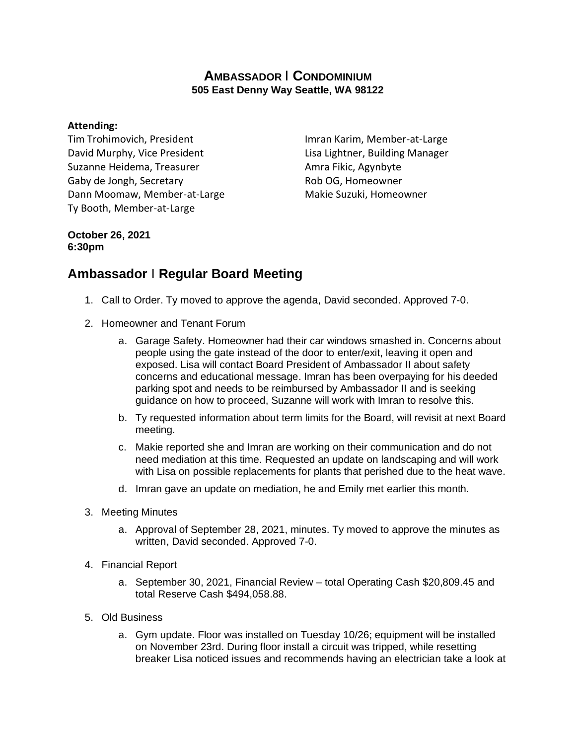## **AMBASSADOR** I **CONDOMINIUM 505 East Denny Way Seattle, WA 98122**

#### **Attending:**

Tim Trohimovich, President David Murphy, Vice President Suzanne Heidema, Treasurer Gaby de Jongh, Secretary Dann Moomaw, Member-at-Large Ty Booth, Member-at-Large

Imran Karim, Member-at-Large Lisa Lightner, Building Manager Amra Fikic, Agynbyte Rob OG, Homeowner Makie Suzuki, Homeowner

#### **October 26, 2021 6:30pm**

# **Ambassador** I **Regular Board Meeting**

- 1. Call to Order. Ty moved to approve the agenda, David seconded. Approved 7-0.
- 2. Homeowner and Tenant Forum
	- a. Garage Safety. Homeowner had their car windows smashed in. Concerns about people using the gate instead of the door to enter/exit, leaving it open and exposed. Lisa will contact Board President of Ambassador II about safety concerns and educational message. Imran has been overpaying for his deeded parking spot and needs to be reimbursed by Ambassador II and is seeking guidance on how to proceed, Suzanne will work with Imran to resolve this.
	- b. Ty requested information about term limits for the Board, will revisit at next Board meeting.
	- c. Makie reported she and Imran are working on their communication and do not need mediation at this time. Requested an update on landscaping and will work with Lisa on possible replacements for plants that perished due to the heat wave.
	- d. Imran gave an update on mediation, he and Emily met earlier this month.
- 3. Meeting Minutes
	- a. Approval of September 28, 2021, minutes. Ty moved to approve the minutes as written, David seconded. Approved 7-0.
- 4. Financial Report
	- a. September 30, 2021, Financial Review total Operating Cash \$20,809.45 and total Reserve Cash \$494,058.88.
- 5. Old Business
	- a. Gym update. Floor was installed on Tuesday 10/26; equipment will be installed on November 23rd. During floor install a circuit was tripped, while resetting breaker Lisa noticed issues and recommends having an electrician take a look at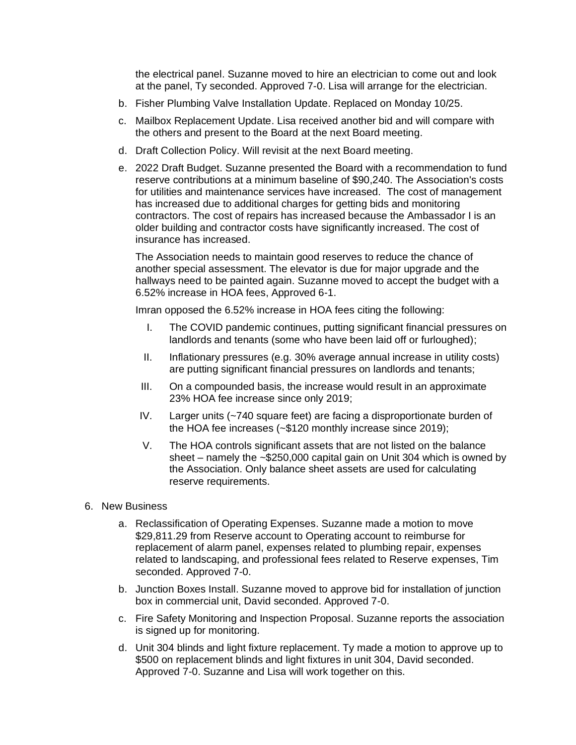the electrical panel. Suzanne moved to hire an electrician to come out and look at the panel, Ty seconded. Approved 7-0. Lisa will arrange for the electrician.

- b. Fisher Plumbing Valve Installation Update. Replaced on Monday 10/25.
- c. Mailbox Replacement Update. Lisa received another bid and will compare with the others and present to the Board at the next Board meeting.
- d. Draft Collection Policy. Will revisit at the next Board meeting.
- e. 2022 Draft Budget. Suzanne presented the Board with a recommendation to fund reserve contributions at a minimum baseline of \$90,240. The Association's costs for utilities and maintenance services have increased. The cost of management has increased due to additional charges for getting bids and monitoring contractors. The cost of repairs has increased because the Ambassador I is an older building and contractor costs have significantly increased. The cost of insurance has increased.

The Association needs to maintain good reserves to reduce the chance of another special assessment. The elevator is due for major upgrade and the hallways need to be painted again. Suzanne moved to accept the budget with a 6.52% increase in HOA fees, Approved 6-1.

Imran opposed the 6.52% increase in HOA fees citing the following:

- I. The COVID pandemic continues, putting significant financial pressures on landlords and tenants (some who have been laid off or furloughed);
- II. Inflationary pressures (e.g. 30% average annual increase in utility costs) are putting significant financial pressures on landlords and tenants;
- III. On a compounded basis, the increase would result in an approximate 23% HOA fee increase since only 2019;
- IV. Larger units (~740 square feet) are facing a disproportionate burden of the HOA fee increases (~\$120 monthly increase since 2019);
- V. The HOA controls significant assets that are not listed on the balance sheet – namely the ~\$250,000 capital gain on Unit 304 which is owned by the Association. Only balance sheet assets are used for calculating reserve requirements.

### 6. New Business

- a. Reclassification of Operating Expenses. Suzanne made a motion to move \$29,811.29 from Reserve account to Operating account to reimburse for replacement of alarm panel, expenses related to plumbing repair, expenses related to landscaping, and professional fees related to Reserve expenses, Tim seconded. Approved 7-0.
- b. Junction Boxes Install. Suzanne moved to approve bid for installation of junction box in commercial unit, David seconded. Approved 7-0.
- c. Fire Safety Monitoring and Inspection Proposal. Suzanne reports the association is signed up for monitoring.
- d. Unit 304 blinds and light fixture replacement. Ty made a motion to approve up to \$500 on replacement blinds and light fixtures in unit 304, David seconded. Approved 7-0. Suzanne and Lisa will work together on this.